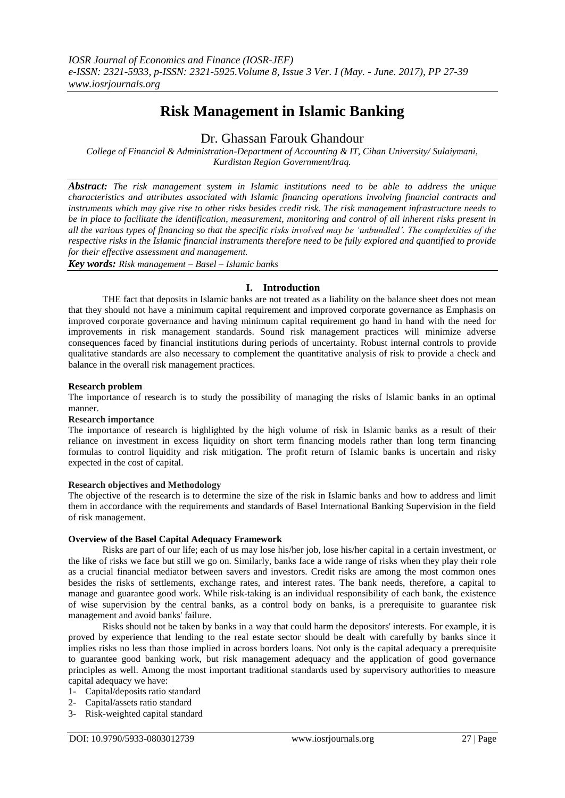# **Risk Management in Islamic Banking**

# Dr. Ghassan Farouk Ghandour

*College of Financial & Administration-Department of Accounting & IT, Cihan University/ Sulaiymani, Kurdistan Region Government/Iraq.*

*Abstract: The risk management system in Islamic institutions need to be able to address the unique characteristics and attributes associated with Islamic financing operations involving financial contracts and instruments which may give rise to other risks besides credit risk. The risk management infrastructure needs to be in place to facilitate the identification, measurement, monitoring and control of all inherent risks present in all the various types of financing so that the specific risks involved may be 'unbundled'. The complexities of the respective risks in the Islamic financial instruments therefore need to be fully explored and quantified to provide for their effective assessment and management.*

*Key words: Risk management – Basel – Islamic banks*

## **I. Introduction**

THE fact that deposits in Islamic banks are not treated as a liability on the balance sheet does not mean that they should not have a minimum capital requirement and improved corporate governance as Emphasis on improved corporate governance and having minimum capital requirement go hand in hand with the need for improvements in risk management standards. Sound risk management practices will minimize adverse consequences faced by financial institutions during periods of uncertainty. Robust internal controls to provide qualitative standards are also necessary to complement the quantitative analysis of risk to provide a check and balance in the overall risk management practices.

#### **Research problem**

The importance of research is to study the possibility of managing the risks of Islamic banks in an optimal manner.

#### **Research importance**

The importance of research is highlighted by the high volume of risk in Islamic banks as a result of their reliance on investment in excess liquidity on short term financing models rather than long term financing formulas to control liquidity and risk mitigation. The profit return of Islamic banks is uncertain and risky expected in the cost of capital.

#### **Research objectives and Methodology**

The objective of the research is to determine the size of the risk in Islamic banks and how to address and limit them in accordance with the requirements and standards of Basel International Banking Supervision in the field of risk management.

#### **Overview of the Basel Capital Adequacy Framework**

Risks are part of our life; each of us may lose his/her job, lose his/her capital in a certain investment, or the like of risks we face but still we go on. Similarly, banks face a wide range of risks when they play their role as a crucial financial mediator between savers and investors. Credit risks are among the most common ones besides the risks of settlements, exchange rates, and interest rates. The bank needs, therefore, a capital to manage and guarantee good work. While risk-taking is an individual responsibility of each bank, the existence of wise supervision by the central banks, as a control body on banks, is a prerequisite to guarantee risk management and avoid banks' failure.

Risks should not be taken by banks in a way that could harm the depositors' interests. For example, it is proved by experience that lending to the real estate sector should be dealt with carefully by banks since it implies risks no less than those implied in across borders loans. Not only is the capital adequacy a prerequisite to guarantee good banking work, but risk management adequacy and the application of good governance principles as well. Among the most important traditional standards used by supervisory authorities to measure capital adequacy we have:

- 1- Capital/deposits ratio standard
- 2- Capital/assets ratio standard
- 3- Risk-weighted capital standard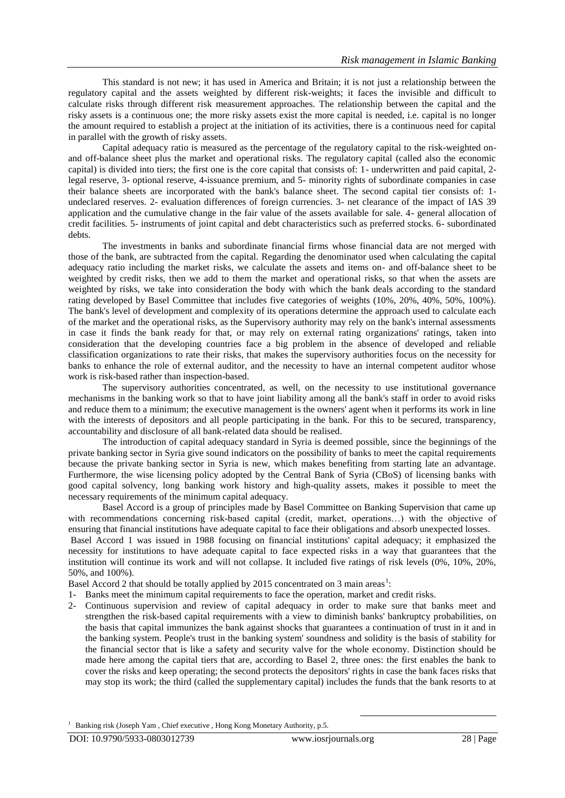This standard is not new; it has used in America and Britain; it is not just a relationship between the regulatory capital and the assets weighted by different risk-weights; it faces the invisible and difficult to calculate risks through different risk measurement approaches. The relationship between the capital and the risky assets is a continuous one; the more risky assets exist the more capital is needed, i.e. capital is no longer the amount required to establish a project at the initiation of its activities, there is a continuous need for capital in parallel with the growth of risky assets.

Capital adequacy ratio is measured as the percentage of the regulatory capital to the risk-weighted onand off-balance sheet plus the market and operational risks. The regulatory capital (called also the economic capital) is divided into tiers; the first one is the core capital that consists of: 1- underwritten and paid capital, 2 legal reserve, 3- optional reserve, 4-issuance premium, and 5- minority rights of subordinate companies in case their balance sheets are incorporated with the bank's balance sheet. The second capital tier consists of: 1 undeclared reserves. 2- evaluation differences of foreign currencies. 3- net clearance of the impact of IAS 39 application and the cumulative change in the fair value of the assets available for sale. 4- general allocation of credit facilities. 5- instruments of joint capital and debt characteristics such as preferred stocks. 6- subordinated debts.

The investments in banks and subordinate financial firms whose financial data are not merged with those of the bank, are subtracted from the capital. Regarding the denominator used when calculating the capital adequacy ratio including the market risks, we calculate the assets and items on- and off-balance sheet to be weighted by credit risks, then we add to them the market and operational risks, so that when the assets are weighted by risks, we take into consideration the body with which the bank deals according to the standard rating developed by Basel Committee that includes five categories of weights (10%, 20%, 40%, 50%, 100%). The bank's level of development and complexity of its operations determine the approach used to calculate each of the market and the operational risks, as the Supervisory authority may rely on the bank's internal assessments in case it finds the bank ready for that, or may rely on external rating organizations' ratings, taken into consideration that the developing countries face a big problem in the absence of developed and reliable classification organizations to rate their risks, that makes the supervisory authorities focus on the necessity for banks to enhance the role of external auditor, and the necessity to have an internal competent auditor whose work is risk-based rather than inspection-based.

The supervisory authorities concentrated, as well, on the necessity to use institutional governance mechanisms in the banking work so that to have joint liability among all the bank's staff in order to avoid risks and reduce them to a minimum; the executive management is the owners' agent when it performs its work in line with the interests of depositors and all people participating in the bank. For this to be secured, transparency, accountability and disclosure of all bank-related data should be realised.

The introduction of capital adequacy standard in Syria is deemed possible, since the beginnings of the private banking sector in Syria give sound indicators on the possibility of banks to meet the capital requirements because the private banking sector in Syria is new, which makes benefiting from starting late an advantage. Furthermore, the wise licensing policy adopted by the Central Bank of Syria (CBoS) of licensing banks with good capital solvency, long banking work history and high-quality assets, makes it possible to meet the necessary requirements of the minimum capital adequacy.

Basel Accord is a group of principles made by Basel Committee on Banking Supervision that came up with recommendations concerning risk-based capital (credit, market, operations…) with the objective of ensuring that financial institutions have adequate capital to face their obligations and absorb unexpected losses. Basel Accord 1 was issued in 1988 focusing on financial institutions' capital adequacy; it emphasized the necessity for institutions to have adequate capital to face expected risks in a way that guarantees that the institution will continue its work and will not collapse. It included five ratings of risk levels (0%, 10%, 20%, 50%, and 100%).

Basel Accord 2 that should be totally applied by 2015 concentrated on 3 main areas<sup>1</sup>:

1- Banks meet the minimum capital requirements to face the operation, market and credit risks.

2- Continuous supervision and review of capital adequacy in order to make sure that banks meet and strengthen the risk-based capital requirements with a view to diminish banks' bankruptcy probabilities, on the basis that capital immunizes the bank against shocks that guarantees a continuation of trust in it and in the banking system. People's trust in the banking system' soundness and solidity is the basis of stability for the financial sector that is like a safety and security valve for the whole economy. Distinction should be made here among the capital tiers that are, according to Basel 2, three ones: the first enables the bank to cover the risks and keep operating; the second protects the depositors' rights in case the bank faces risks that may stop its work; the third (called the supplementary capital) includes the funds that the bank resorts to at

<sup>&</sup>lt;sup>1</sup> Banking risk (Joseph Yam, Chief executive, Hong Kong Monetary Authority, p.5.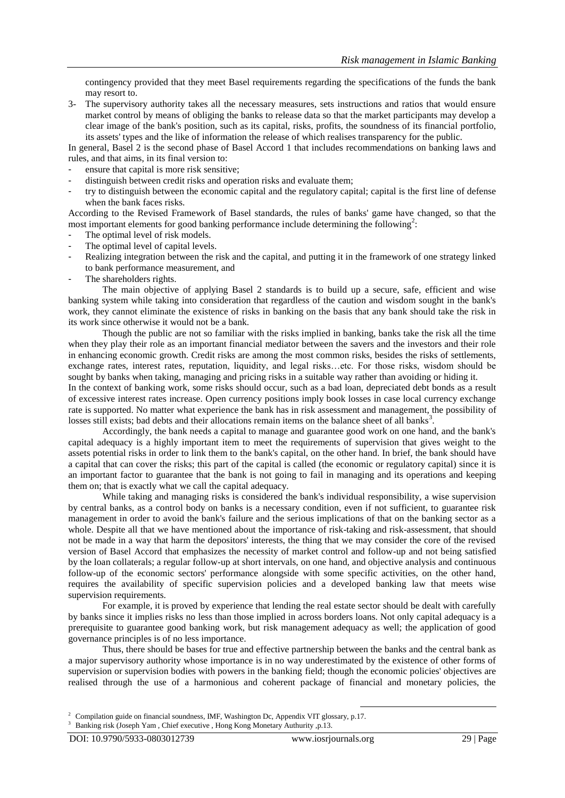contingency provided that they meet Basel requirements regarding the specifications of the funds the bank may resort to.

3- The supervisory authority takes all the necessary measures, sets instructions and ratios that would ensure market control by means of obliging the banks to release data so that the market participants may develop a clear image of the bank's position, such as its capital, risks, profits, the soundness of its financial portfolio, its assets' types and the like of information the release of which realises transparency for the public.

In general, Basel 2 is the second phase of Basel Accord 1 that includes recommendations on banking laws and rules, and that aims, in its final version to:

- ensure that capital is more risk sensitive;
- distinguish between credit risks and operation risks and evaluate them;
- try to distinguish between the economic capital and the regulatory capital; capital is the first line of defense when the bank faces risks.

According to the Revised Framework of Basel standards, the rules of banks' game have changed, so that the most important elements for good banking performance include determining the following<sup>2</sup>:

- The optimal level of risk models.
- The optimal level of capital levels.
- Realizing integration between the risk and the capital, and putting it in the framework of one strategy linked to bank performance measurement, and
- The shareholders rights.

The main objective of applying Basel 2 standards is to build up a secure, safe, efficient and wise banking system while taking into consideration that regardless of the caution and wisdom sought in the bank's work, they cannot eliminate the existence of risks in banking on the basis that any bank should take the risk in its work since otherwise it would not be a bank.

Though the public are not so familiar with the risks implied in banking, banks take the risk all the time when they play their role as an important financial mediator between the savers and the investors and their role in enhancing economic growth. Credit risks are among the most common risks, besides the risks of settlements, exchange rates, interest rates, reputation, liquidity, and legal risks…etc. For those risks, wisdom should be sought by banks when taking, managing and pricing risks in a suitable way rather than avoiding or hiding it.

In the context of banking work, some risks should occur, such as a bad loan, depreciated debt bonds as a result of excessive interest rates increase. Open currency positions imply book losses in case local currency exchange rate is supported. No matter what experience the bank has in risk assessment and management, the possibility of losses still exists; bad debts and their allocations remain items on the balance sheet of all banks<sup>3</sup>.

Accordingly, the bank needs a capital to manage and guarantee good work on one hand, and the bank's capital adequacy is a highly important item to meet the requirements of supervision that gives weight to the assets potential risks in order to link them to the bank's capital, on the other hand. In brief, the bank should have a capital that can cover the risks; this part of the capital is called (the economic or regulatory capital) since it is an important factor to guarantee that the bank is not going to fail in managing and its operations and keeping them on; that is exactly what we call the capital adequacy.

While taking and managing risks is considered the bank's individual responsibility, a wise supervision by central banks, as a control body on banks is a necessary condition, even if not sufficient, to guarantee risk management in order to avoid the bank's failure and the serious implications of that on the banking sector as a whole. Despite all that we have mentioned about the importance of risk-taking and risk-assessment, that should not be made in a way that harm the depositors' interests, the thing that we may consider the core of the revised version of Basel Accord that emphasizes the necessity of market control and follow-up and not being satisfied by the loan collaterals; a regular follow-up at short intervals, on one hand, and objective analysis and continuous follow-up of the economic sectors' performance alongside with some specific activities, on the other hand, requires the availability of specific supervision policies and a developed banking law that meets wise supervision requirements.

For example, it is proved by experience that lending the real estate sector should be dealt with carefully by banks since it implies risks no less than those implied in across borders loans. Not only capital adequacy is a prerequisite to guarantee good banking work, but risk management adequacy as well; the application of good governance principles is of no less importance.

Thus, there should be bases for true and effective partnership between the banks and the central bank as a major supervisory authority whose importance is in no way underestimated by the existence of other forms of supervision or supervision bodies with powers in the banking field; though the economic policies' objectives are realised through the use of a harmonious and coherent package of financial and monetary policies, the

1

<sup>&</sup>lt;sup>2</sup> Compilation guide on financial soundness, IMF, Washington Dc, Appendix VIT glossary, p.17.

<sup>3</sup> Banking risk (Joseph Yam , Chief executive , Hong Kong Monetary Authurity ,p.13.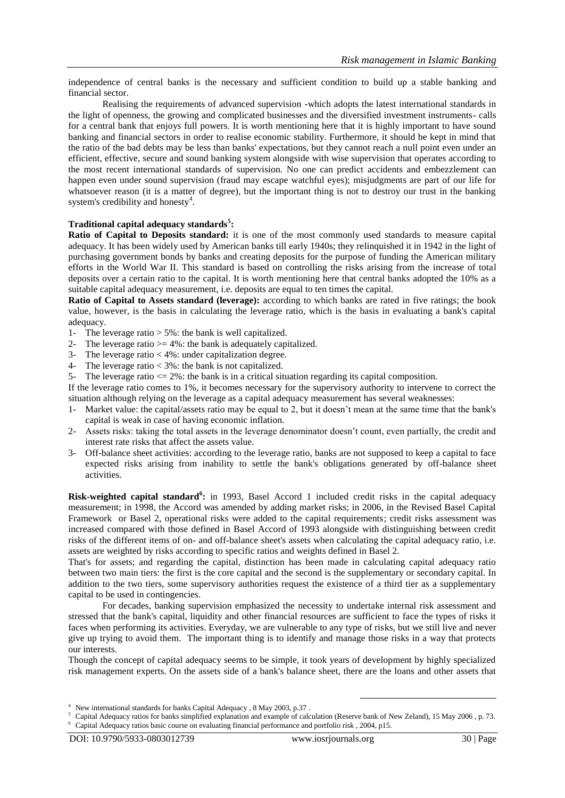independence of central banks is the necessary and sufficient condition to build up a stable banking and financial sector.

Realising the requirements of advanced supervision -which adopts the latest international standards in the light of openness, the growing and complicated businesses and the diversified investment instruments- calls for a central bank that enjoys full powers. It is worth mentioning here that it is highly important to have sound banking and financial sectors in order to realise economic stability. Furthermore, it should be kept in mind that the ratio of the bad debts may be less than banks' expectations, but they cannot reach a null point even under an efficient, effective, secure and sound banking system alongside with wise supervision that operates according to the most recent international standards of supervision. No one can predict accidents and embezzlement can happen even under sound supervision (fraud may escape watchful eyes); misjudgments are part of our life for whatsoever reason (it is a matter of degree), but the important thing is not to destroy our trust in the banking system's credibility and honesty<sup>4</sup>.

#### **Traditional capital adequacy standards<sup>5</sup> :**

**Ratio of Capital to Deposits standard:** it is one of the most commonly used standards to measure capital adequacy. It has been widely used by American banks till early 1940s; they relinquished it in 1942 in the light of purchasing government bonds by banks and creating deposits for the purpose of funding the American military efforts in the World War II. This standard is based on controlling the risks arising from the increase of total deposits over a certain ratio to the capital. It is worth mentioning here that central banks adopted the 10% as a suitable capital adequacy measurement, i.e. deposits are equal to ten times the capital.

**Ratio of Capital to Assets standard (leverage):** according to which banks are rated in five ratings; the book value, however, is the basis in calculating the leverage ratio, which is the basis in evaluating a bank's capital adequacy.

- 1- The leverage ratio > 5%: the bank is well capitalized.
- 2- The leverage ratio  $>= 4\%$ : the bank is adequately capitalized.
- 3- The leverage ratio < 4%: under capitalization degree.
- 4- The leverage ratio < 3%: the bank is not capitalized.
- 5- The leverage ratio <= 2%: the bank is in a critical situation regarding its capital composition.

If the leverage ratio comes to 1%, it becomes necessary for the supervisory authority to intervene to correct the situation although relying on the leverage as a capital adequacy measurement has several weaknesses:

- 1- Market value: the capital/assets ratio may be equal to 2, but it doesn't mean at the same time that the bank's capital is weak in case of having economic inflation.
- 2- Assets risks: taking the total assets in the leverage denominator doesn't count, even partially, the credit and interest rate risks that affect the assets value.
- 3- Off-balance sheet activities: according to the leverage ratio, banks are not supposed to keep a capital to face expected risks arising from inability to settle the bank's obligations generated by off-balance sheet activities.

**Risk-weighted capital standard<sup>6</sup> :** in 1993, Basel Accord 1 included credit risks in the capital adequacy measurement; in 1998, the Accord was amended by adding market risks; in 2006, in the Revised Basel Capital Framework or Basel 2, operational risks were added to the capital requirements; credit risks assessment was increased compared with those defined in Basel Accord of 1993 alongside with distinguishing between credit risks of the different items of on- and off-balance sheet's assets when calculating the capital adequacy ratio, i.e. assets are weighted by risks according to specific ratios and weights defined in Basel 2.

That's for assets; and regarding the capital, distinction has been made in calculating capital adequacy ratio between two main tiers: the first is the core capital and the second is the supplementary or secondary capital. In addition to the two tiers, some supervisory authorities request the existence of a third tier as a supplementary capital to be used in contingencies.

For decades, banking supervision emphasized the necessity to undertake internal risk assessment and stressed that the bank's capital, liquidity and other financial resources are sufficient to face the types of risks it faces when performing its activities. Everyday, we are vulnerable to any type of risks, but we still live and never give up trying to avoid them. The important thing is to identify and manage those risks in a way that protects our interests.

Though the concept of capital adequacy seems to be simple, it took years of development by highly specialized risk management experts. On the assets side of a bank's balance sheet, there are the loans and other assets that

1

<sup>4</sup> New international standards for banks Capital Adequacy , 8 May 2003, p.37 .

<sup>&</sup>lt;sup>5</sup> Capital Adequacy ratios for banks simplified explanation and example of calculation (Reserve bank of New Zeland), 15 May 2006, p. 73. 6 Capital Adequacy ratios basic course on evaluating financial performance and portfolio risk , 2004, p15.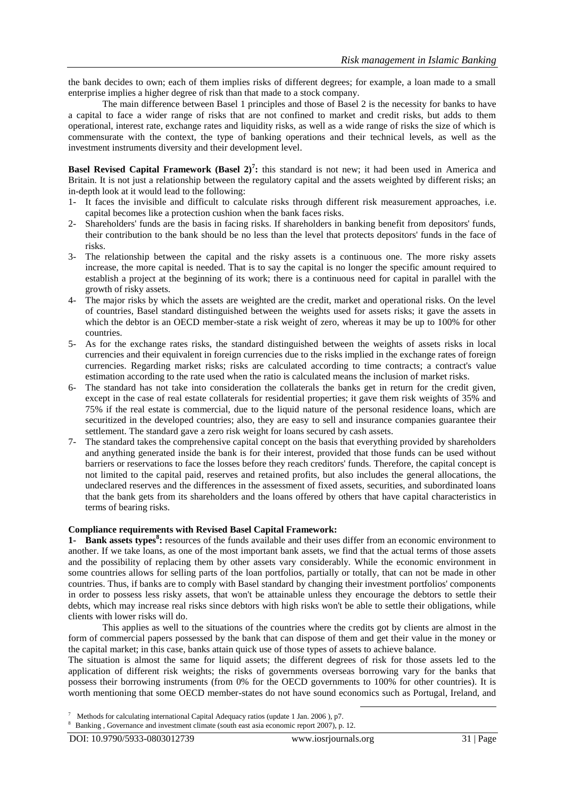the bank decides to own; each of them implies risks of different degrees; for example, a loan made to a small enterprise implies a higher degree of risk than that made to a stock company.

The main difference between Basel 1 principles and those of Basel 2 is the necessity for banks to have a capital to face a wider range of risks that are not confined to market and credit risks, but adds to them operational, interest rate, exchange rates and liquidity risks, as well as a wide range of risks the size of which is commensurate with the context, the type of banking operations and their technical levels, as well as the investment instruments diversity and their development level.

**Basel Revised Capital Framework (Basel 2)<sup>7</sup> :** this standard is not new; it had been used in America and Britain. It is not just a relationship between the regulatory capital and the assets weighted by different risks; an in-depth look at it would lead to the following:

- 1- It faces the invisible and difficult to calculate risks through different risk measurement approaches, i.e. capital becomes like a protection cushion when the bank faces risks.
- 2- Shareholders' funds are the basis in facing risks. If shareholders in banking benefit from depositors' funds, their contribution to the bank should be no less than the level that protects depositors' funds in the face of risks.
- 3- The relationship between the capital and the risky assets is a continuous one. The more risky assets increase, the more capital is needed. That is to say the capital is no longer the specific amount required to establish a project at the beginning of its work; there is a continuous need for capital in parallel with the growth of risky assets.
- 4- The major risks by which the assets are weighted are the credit, market and operational risks. On the level of countries, Basel standard distinguished between the weights used for assets risks; it gave the assets in which the debtor is an OECD member-state a risk weight of zero, whereas it may be up to 100% for other countries.
- 5- As for the exchange rates risks, the standard distinguished between the weights of assets risks in local currencies and their equivalent in foreign currencies due to the risks implied in the exchange rates of foreign currencies. Regarding market risks; risks are calculated according to time contracts; a contract's value estimation according to the rate used when the ratio is calculated means the inclusion of market risks.
- 6- The standard has not take into consideration the collaterals the banks get in return for the credit given, except in the case of real estate collaterals for residential properties; it gave them risk weights of 35% and 75% if the real estate is commercial, due to the liquid nature of the personal residence loans, which are securitized in the developed countries; also, they are easy to sell and insurance companies guarantee their settlement. The standard gave a zero risk weight for loans secured by cash assets.
- 7- The standard takes the comprehensive capital concept on the basis that everything provided by shareholders and anything generated inside the bank is for their interest, provided that those funds can be used without barriers or reservations to face the losses before they reach creditors' funds. Therefore, the capital concept is not limited to the capital paid, reserves and retained profits, but also includes the general allocations, the undeclared reserves and the differences in the assessment of fixed assets, securities, and subordinated loans that the bank gets from its shareholders and the loans offered by others that have capital characteristics in terms of bearing risks.

#### **Compliance requirements with Revised Basel Capital Framework:**

**1- Bank assets types<sup>8</sup> :** resources of the funds available and their uses differ from an economic environment to another. If we take loans, as one of the most important bank assets, we find that the actual terms of those assets and the possibility of replacing them by other assets vary considerably. While the economic environment in some countries allows for selling parts of the loan portfolios, partially or totally, that can not be made in other countries. Thus, if banks are to comply with Basel standard by changing their investment portfolios' components in order to possess less risky assets, that won't be attainable unless they encourage the debtors to settle their debts, which may increase real risks since debtors with high risks won't be able to settle their obligations, while clients with lower risks will do.

This applies as well to the situations of the countries where the credits got by clients are almost in the form of commercial papers possessed by the bank that can dispose of them and get their value in the money or the capital market; in this case, banks attain quick use of those types of assets to achieve balance.

The situation is almost the same for liquid assets; the different degrees of risk for those assets led to the application of different risk weights; the risks of governments overseas borrowing vary for the banks that possess their borrowing instruments (from 0% for the OECD governments to 100% for other countries). It is worth mentioning that some OECD member-states do not have sound economics such as Portugal, Ireland, and

1

<sup>7</sup> Methods for calculating international Capital Adequacy ratios (update 1 Jan. 2006 ), p7.

<sup>8</sup> Banking , Governance and investment climate (south east asia economic report 2007), p. 12.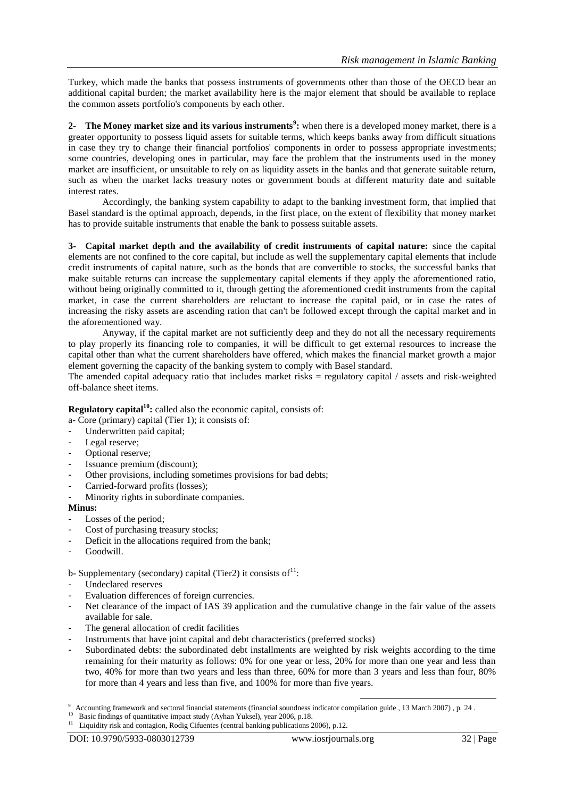Turkey, which made the banks that possess instruments of governments other than those of the OECD bear an additional capital burden; the market availability here is the major element that should be available to replace the common assets portfolio's components by each other.

**2- The Money market size and its various instruments<sup>9</sup> :** when there is a developed money market, there is a greater opportunity to possess liquid assets for suitable terms, which keeps banks away from difficult situations in case they try to change their financial portfolios' components in order to possess appropriate investments; some countries, developing ones in particular, may face the problem that the instruments used in the money market are insufficient, or unsuitable to rely on as liquidity assets in the banks and that generate suitable return, such as when the market lacks treasury notes or government bonds at different maturity date and suitable interest rates.

Accordingly, the banking system capability to adapt to the banking investment form, that implied that Basel standard is the optimal approach, depends, in the first place, on the extent of flexibility that money market has to provide suitable instruments that enable the bank to possess suitable assets.

**3- Capital market depth and the availability of credit instruments of capital nature:** since the capital elements are not confined to the core capital, but include as well the supplementary capital elements that include credit instruments of capital nature, such as the bonds that are convertible to stocks, the successful banks that make suitable returns can increase the supplementary capital elements if they apply the aforementioned ratio, without being originally committed to it, through getting the aforementioned credit instruments from the capital market, in case the current shareholders are reluctant to increase the capital paid, or in case the rates of increasing the risky assets are ascending ration that can't be followed except through the capital market and in the aforementioned way.

Anyway, if the capital market are not sufficiently deep and they do not all the necessary requirements to play properly its financing role to companies, it will be difficult to get external resources to increase the capital other than what the current shareholders have offered, which makes the financial market growth a major element governing the capacity of the banking system to comply with Basel standard.

The amended capital adequacy ratio that includes market risks = regulatory capital / assets and risk-weighted off-balance sheet items.

**Regulatory capital<sup>10</sup>:** called also the economic capital, consists of:

a- Core (primary) capital (Tier 1); it consists of:

- Underwritten paid capital;
- Legal reserve;
- Optional reserve;
- Issuance premium (discount);
- Other provisions, including sometimes provisions for bad debts;
- Carried-forward profits (losses);
- Minority rights in subordinate companies.

#### **Minus:**

- Losses of the period;
- Cost of purchasing treasury stocks;
- Deficit in the allocations required from the bank;
- Goodwill.

b- Supplementary (secondary) capital (Tier2) it consists of  $11$ :

- Undeclared reserves
- Evaluation differences of foreign currencies.
- Net clearance of the impact of IAS 39 application and the cumulative change in the fair value of the assets available for sale.
- The general allocation of credit facilities
- Instruments that have joint capital and debt characteristics (preferred stocks)
- Subordinated debts: the subordinated debt installments are weighted by risk weights according to the time remaining for their maturity as follows: 0% for one year or less, 20% for more than one year and less than two, 40% for more than two years and less than three, 60% for more than 3 years and less than four, 80% for more than 4 years and less than five, and 100% for more than five years.

<sup>11</sup> Liquidity risk and contagion, Rodig Cifuentes (central banking publications 2006), p.12.

<sup>1</sup> 9 Accounting framework and sectoral financial statements (financial soundness indicator compilation guide , 13 March 2007) , p. 24 .

Basic findings of quantitative impact study (Ayhan Yuksel), year 2006, p.18.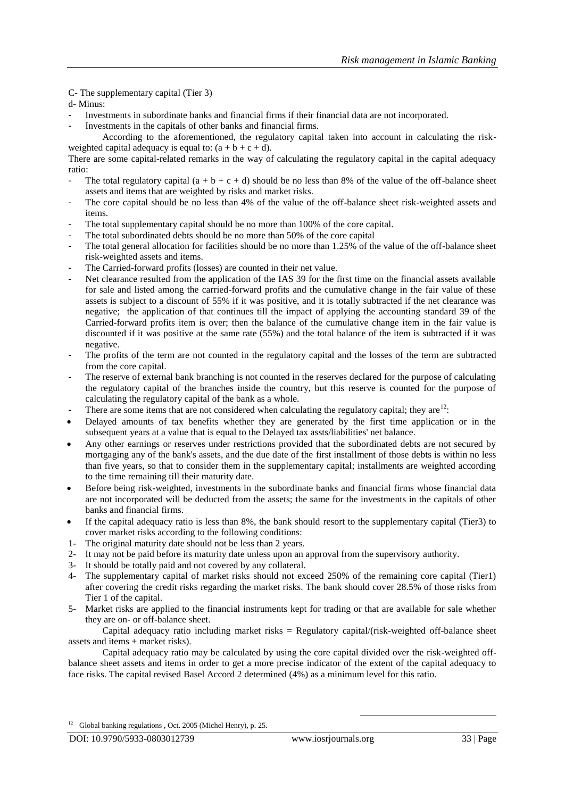C- The supplementary capital (Tier 3)

- d- Minus:
- Investments in subordinate banks and financial firms if their financial data are not incorporated.
- Investments in the capitals of other banks and financial firms.
- According to the aforementioned, the regulatory capital taken into account in calculating the riskweighted capital adequacy is equal to:  $(a + b + c + d)$ .

There are some capital-related remarks in the way of calculating the regulatory capital in the capital adequacy ratio:

- The total regulatory capital  $(a + b + c + d)$  should be no less than 8% of the value of the off-balance sheet assets and items that are weighted by risks and market risks.
- The core capital should be no less than 4% of the value of the off-balance sheet risk-weighted assets and items.
- The total supplementary capital should be no more than 100% of the core capital.
- The total subordinated debts should be no more than 50% of the core capital
- The total general allocation for facilities should be no more than 1.25% of the value of the off-balance sheet risk-weighted assets and items.
- The Carried-forward profits (losses) are counted in their net value.
- Net clearance resulted from the application of the IAS 39 for the first time on the financial assets available for sale and listed among the carried-forward profits and the cumulative change in the fair value of these assets is subject to a discount of 55% if it was positive, and it is totally subtracted if the net clearance was negative; the application of that continues till the impact of applying the accounting standard 39 of the Carried-forward profits item is over; then the balance of the cumulative change item in the fair value is discounted if it was positive at the same rate (55%) and the total balance of the item is subtracted if it was negative.
- The profits of the term are not counted in the regulatory capital and the losses of the term are subtracted from the core capital.
- The reserve of external bank branching is not counted in the reserves declared for the purpose of calculating the regulatory capital of the branches inside the country, but this reserve is counted for the purpose of calculating the regulatory capital of the bank as a whole.
- There are some items that are not considered when calculating the regulatory capital; they are<sup>12</sup>:
- Delayed amounts of tax benefits whether they are generated by the first time application or in the subsequent years at a value that is equal to the Delayed tax assts/liabilities' net balance.
- Any other earnings or reserves under restrictions provided that the subordinated debts are not secured by mortgaging any of the bank's assets, and the due date of the first installment of those debts is within no less than five years, so that to consider them in the supplementary capital; installments are weighted according to the time remaining till their maturity date.
- Before being risk-weighted, investments in the subordinate banks and financial firms whose financial data are not incorporated will be deducted from the assets; the same for the investments in the capitals of other banks and financial firms.
- If the capital adequacy ratio is less than 8%, the bank should resort to the supplementary capital (Tier3) to cover market risks according to the following conditions:
- 1- The original maturity date should not be less than 2 years.
- 2- It may not be paid before its maturity date unless upon an approval from the supervisory authority.
- 3- It should be totally paid and not covered by any collateral.
- 4- The supplementary capital of market risks should not exceed 250% of the remaining core capital (Tier1) after covering the credit risks regarding the market risks. The bank should cover 28.5% of those risks from Tier 1 of the capital.
- 5- Market risks are applied to the financial instruments kept for trading or that are available for sale whether they are on- or off-balance sheet.

Capital adequacy ratio including market risks =  $Regulatory$  capital/(risk-weighted off-balance sheet assets and items + market risks).

Capital adequacy ratio may be calculated by using the core capital divided over the risk-weighted offbalance sheet assets and items in order to get a more precise indicator of the extent of the capital adequacy to face risks. The capital revised Basel Accord 2 determined (4%) as a minimum level for this ratio.

<sup>&</sup>lt;sup>12</sup> Global banking regulations , Oct. 2005 (Michel Henry), p. 25.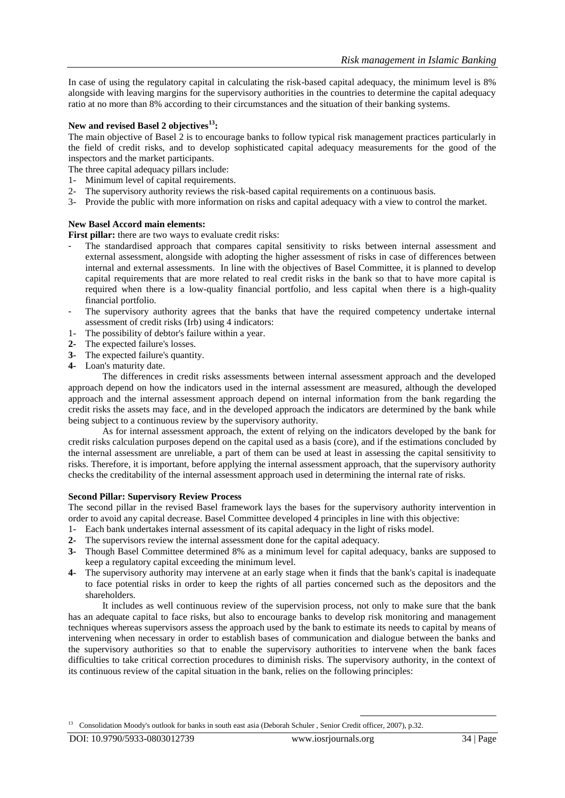In case of using the regulatory capital in calculating the risk-based capital adequacy, the minimum level is 8% alongside with leaving margins for the supervisory authorities in the countries to determine the capital adequacy ratio at no more than 8% according to their circumstances and the situation of their banking systems.

# **New and revised Basel 2 objectives<sup>13</sup>:**

The main objective of Basel 2 is to encourage banks to follow typical risk management practices particularly in the field of credit risks, and to develop sophisticated capital adequacy measurements for the good of the inspectors and the market participants.

- The three capital adequacy pillars include:
- 1- Minimum level of capital requirements.
- 2- The supervisory authority reviews the risk-based capital requirements on a continuous basis.
- 3- Provide the public with more information on risks and capital adequacy with a view to control the market.

#### **New Basel Accord main elements:**

**First pillar:** there are two ways to evaluate credit risks:

- The standardised approach that compares capital sensitivity to risks between internal assessment and external assessment, alongside with adopting the higher assessment of risks in case of differences between internal and external assessments. In line with the objectives of Basel Committee, it is planned to develop capital requirements that are more related to real credit risks in the bank so that to have more capital is required when there is a low-quality financial portfolio, and less capital when there is a high-quality financial portfolio.
- The supervisory authority agrees that the banks that have the required competency undertake internal assessment of credit risks (Irb) using 4 indicators:
- 1- The possibility of debtor's failure within a year.
- **2-** The expected failure's losses.
- **3-** The expected failure's quantity.
- **4-** Loan's maturity date.

The differences in credit risks assessments between internal assessment approach and the developed approach depend on how the indicators used in the internal assessment are measured, although the developed approach and the internal assessment approach depend on internal information from the bank regarding the credit risks the assets may face, and in the developed approach the indicators are determined by the bank while being subject to a continuous review by the supervisory authority.

As for internal assessment approach, the extent of relying on the indicators developed by the bank for credit risks calculation purposes depend on the capital used as a basis (core), and if the estimations concluded by the internal assessment are unreliable, a part of them can be used at least in assessing the capital sensitivity to risks. Therefore, it is important, before applying the internal assessment approach, that the supervisory authority checks the creditability of the internal assessment approach used in determining the internal rate of risks.

#### **Second Pillar: Supervisory Review Process**

The second pillar in the revised Basel framework lays the bases for the supervisory authority intervention in order to avoid any capital decrease. Basel Committee developed 4 principles in line with this objective:

- 1- Each bank undertakes internal assessment of its capital adequacy in the light of risks model.
- **2-** The supervisors review the internal assessment done for the capital adequacy.
- **3-** Though Basel Committee determined 8% as a minimum level for capital adequacy, banks are supposed to keep a regulatory capital exceeding the minimum level.
- **4-** The supervisory authority may intervene at an early stage when it finds that the bank's capital is inadequate to face potential risks in order to keep the rights of all parties concerned such as the depositors and the shareholders.

It includes as well continuous review of the supervision process, not only to make sure that the bank has an adequate capital to face risks, but also to encourage banks to develop risk monitoring and management techniques whereas supervisors assess the approach used by the bank to estimate its needs to capital by means of intervening when necessary in order to establish bases of communication and dialogue between the banks and the supervisory authorities so that to enable the supervisory authorities to intervene when the bank faces difficulties to take critical correction procedures to diminish risks. The supervisory authority, in the context of its continuous review of the capital situation in the bank, relies on the following principles:

<sup>&</sup>lt;sup>13</sup> Consolidation Moody's outlook for banks in south east asia (Deborah Schuler, Senior Credit officer, 2007), p.32.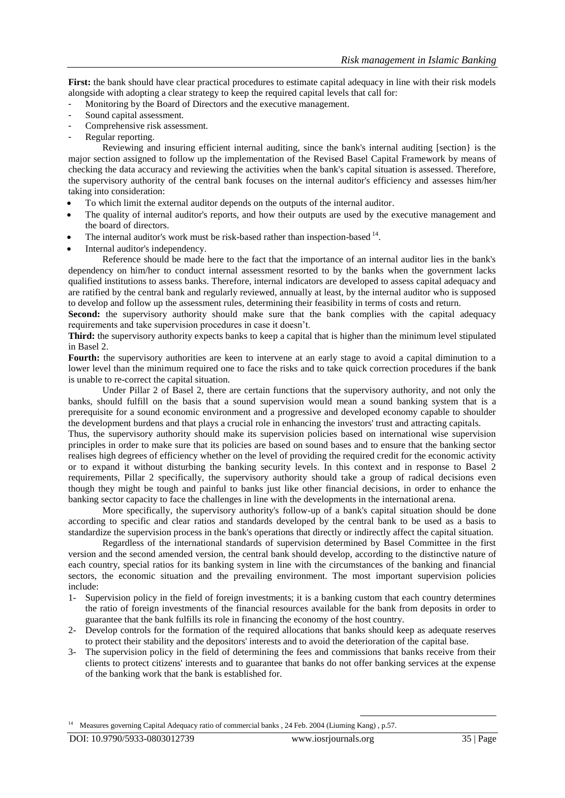**First:** the bank should have clear practical procedures to estimate capital adequacy in line with their risk models alongside with adopting a clear strategy to keep the required capital levels that call for:

- Monitoring by the Board of Directors and the executive management.
- Sound capital assessment.
- Comprehensive risk assessment.
- Regular reporting.

Reviewing and insuring efficient internal auditing, since the bank's internal auditing [section} is the major section assigned to follow up the implementation of the Revised Basel Capital Framework by means of checking the data accuracy and reviewing the activities when the bank's capital situation is assessed. Therefore, the supervisory authority of the central bank focuses on the internal auditor's efficiency and assesses him/her taking into consideration:

- To which limit the external auditor depends on the outputs of the internal auditor.
- The quality of internal auditor's reports, and how their outputs are used by the executive management and the board of directors.
- $\bullet$  The internal auditor's work must be risk-based rather than inspection-based  $14$ .
- Internal auditor's independency.

Reference should be made here to the fact that the importance of an internal auditor lies in the bank's dependency on him/her to conduct internal assessment resorted to by the banks when the government lacks qualified institutions to assess banks. Therefore, internal indicators are developed to assess capital adequacy and are ratified by the central bank and regularly reviewed, annually at least, by the internal auditor who is supposed to develop and follow up the assessment rules, determining their feasibility in terms of costs and return.

**Second:** the supervisory authority should make sure that the bank complies with the capital adequacy requirements and take supervision procedures in case it doesn't.

**Third:** the supervisory authority expects banks to keep a capital that is higher than the minimum level stipulated in Basel 2.

Fourth: the supervisory authorities are keen to intervene at an early stage to avoid a capital diminution to a lower level than the minimum required one to face the risks and to take quick correction procedures if the bank is unable to re-correct the capital situation.

Under Pillar 2 of Basel 2, there are certain functions that the supervisory authority, and not only the banks, should fulfill on the basis that a sound supervision would mean a sound banking system that is a prerequisite for a sound economic environment and a progressive and developed economy capable to shoulder the development burdens and that plays a crucial role in enhancing the investors' trust and attracting capitals.

Thus, the supervisory authority should make its supervision policies based on international wise supervision principles in order to make sure that its policies are based on sound bases and to ensure that the banking sector realises high degrees of efficiency whether on the level of providing the required credit for the economic activity or to expand it without disturbing the banking security levels. In this context and in response to Basel 2 requirements, Pillar 2 specifically, the supervisory authority should take a group of radical decisions even though they might be tough and painful to banks just like other financial decisions, in order to enhance the banking sector capacity to face the challenges in line with the developments in the international arena.

More specifically, the supervisory authority's follow-up of a bank's capital situation should be done according to specific and clear ratios and standards developed by the central bank to be used as a basis to standardize the supervision process in the bank's operations that directly or indirectly affect the capital situation.

Regardless of the international standards of supervision determined by Basel Committee in the first version and the second amended version, the central bank should develop, according to the distinctive nature of each country, special ratios for its banking system in line with the circumstances of the banking and financial sectors, the economic situation and the prevailing environment. The most important supervision policies include:

- 1- Supervision policy in the field of foreign investments; it is a banking custom that each country determines the ratio of foreign investments of the financial resources available for the bank from deposits in order to guarantee that the bank fulfills its role in financing the economy of the host country.
- 2- Develop controls for the formation of the required allocations that banks should keep as adequate reserves to protect their stability and the depositors' interests and to avoid the deterioration of the capital base.
- 3- The supervision policy in the field of determining the fees and commissions that banks receive from their clients to protect citizens' interests and to guarantee that banks do not offer banking services at the expense of the banking work that the bank is established for.

<sup>14</sup> Measures governing Capital Adequacy ratio of commercial banks, 24 Feb. 2004 (Liuming Kang), p.57.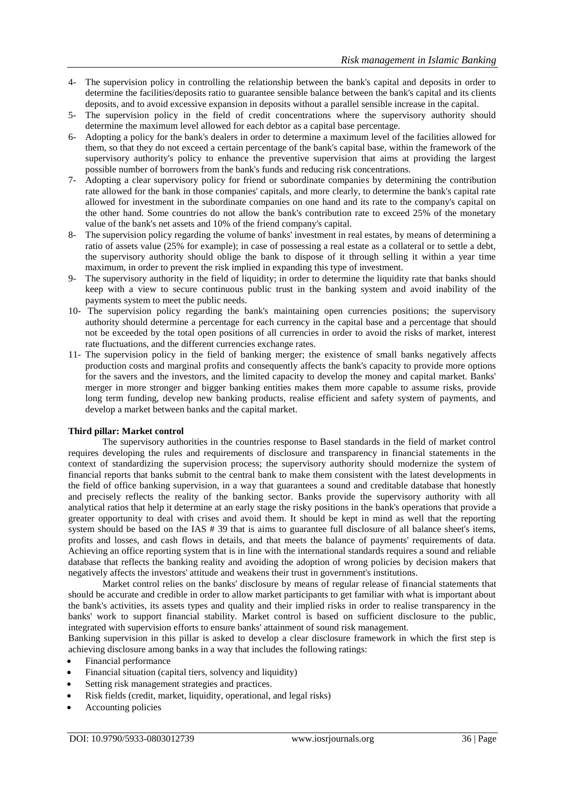- 4- The supervision policy in controlling the relationship between the bank's capital and deposits in order to determine the facilities/deposits ratio to guarantee sensible balance between the bank's capital and its clients deposits, and to avoid excessive expansion in deposits without a parallel sensible increase in the capital.
- 5- The supervision policy in the field of credit concentrations where the supervisory authority should determine the maximum level allowed for each debtor as a capital base percentage.
- 6- Adopting a policy for the bank's dealers in order to determine a maximum level of the facilities allowed for them, so that they do not exceed a certain percentage of the bank's capital base, within the framework of the supervisory authority's policy to enhance the preventive supervision that aims at providing the largest possible number of borrowers from the bank's funds and reducing risk concentrations.
- 7- Adopting a clear supervisory policy for friend or subordinate companies by determining the contribution rate allowed for the bank in those companies' capitals, and more clearly, to determine the bank's capital rate allowed for investment in the subordinate companies on one hand and its rate to the company's capital on the other hand. Some countries do not allow the bank's contribution rate to exceed 25% of the monetary value of the bank's net assets and 10% of the friend company's capital.
- 8- The supervision policy regarding the volume of banks' investment in real estates, by means of determining a ratio of assets value (25% for example); in case of possessing a real estate as a collateral or to settle a debt, the supervisory authority should oblige the bank to dispose of it through selling it within a year time maximum, in order to prevent the risk implied in expanding this type of investment.
- 9- The supervisory authority in the field of liquidity; in order to determine the liquidity rate that banks should keep with a view to secure continuous public trust in the banking system and avoid inability of the payments system to meet the public needs.
- 10- The supervision policy regarding the bank's maintaining open currencies positions; the supervisory authority should determine a percentage for each currency in the capital base and a percentage that should not be exceeded by the total open positions of all currencies in order to avoid the risks of market, interest rate fluctuations, and the different currencies exchange rates.
- 11- The supervision policy in the field of banking merger; the existence of small banks negatively affects production costs and marginal profits and consequently affects the bank's capacity to provide more options for the savers and the investors, and the limited capacity to develop the money and capital market. Banks' merger in more stronger and bigger banking entities makes them more capable to assume risks, provide long term funding, develop new banking products, realise efficient and safety system of payments, and develop a market between banks and the capital market.

## **Third pillar: Market control**

The supervisory authorities in the countries response to Basel standards in the field of market control requires developing the rules and requirements of disclosure and transparency in financial statements in the context of standardizing the supervision process; the supervisory authority should modernize the system of financial reports that banks submit to the central bank to make them consistent with the latest developments in the field of office banking supervision, in a way that guarantees a sound and creditable database that honestly and precisely reflects the reality of the banking sector. Banks provide the supervisory authority with all analytical ratios that help it determine at an early stage the risky positions in the bank's operations that provide a greater opportunity to deal with crises and avoid them. It should be kept in mind as well that the reporting system should be based on the IAS # 39 that is aims to guarantee full disclosure of all balance sheet's items, profits and losses, and cash flows in details, and that meets the balance of payments' requirements of data. Achieving an office reporting system that is in line with the international standards requires a sound and reliable database that reflects the banking reality and avoiding the adoption of wrong policies by decision makers that negatively affects the investors' attitude and weakens their trust in government's institutions.

Market control relies on the banks' disclosure by means of regular release of financial statements that should be accurate and credible in order to allow market participants to get familiar with what is important about the bank's activities, its assets types and quality and their implied risks in order to realise transparency in the banks' work to support financial stability. Market control is based on sufficient disclosure to the public, integrated with supervision efforts to ensure banks' attainment of sound risk management.

Banking supervision in this pillar is asked to develop a clear disclosure framework in which the first step is achieving disclosure among banks in a way that includes the following ratings:

- Financial performance
- Financial situation (capital tiers, solvency and liquidity)
- Setting risk management strategies and practices.
- Risk fields (credit, market, liquidity, operational, and legal risks)
- Accounting policies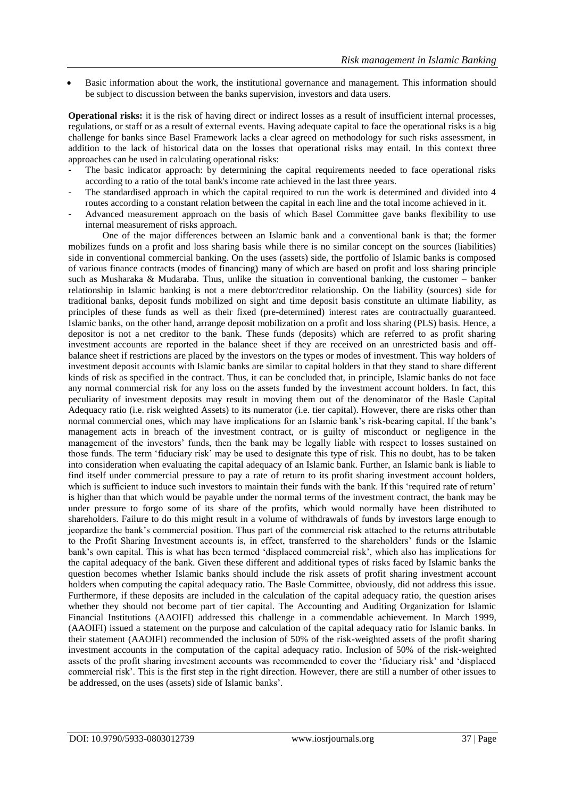Basic information about the work, the institutional governance and management. This information should be subject to discussion between the banks supervision, investors and data users.

**Operational risks:** it is the risk of having direct or indirect losses as a result of insufficient internal processes, regulations, or staff or as a result of external events. Having adequate capital to face the operational risks is a big challenge for banks since Basel Framework lacks a clear agreed on methodology for such risks assessment, in addition to the lack of historical data on the losses that operational risks may entail. In this context three approaches can be used in calculating operational risks:

- The basic indicator approach: by determining the capital requirements needed to face operational risks according to a ratio of the total bank's income rate achieved in the last three years.
- The standardised approach in which the capital required to run the work is determined and divided into 4 routes according to a constant relation between the capital in each line and the total income achieved in it.
- Advanced measurement approach on the basis of which Basel Committee gave banks flexibility to use internal measurement of risks approach.

One of the major differences between an Islamic bank and a conventional bank is that; the former mobilizes funds on a profit and loss sharing basis while there is no similar concept on the sources (liabilities) side in conventional commercial banking. On the uses (assets) side, the portfolio of Islamic banks is composed of various finance contracts (modes of financing) many of which are based on profit and loss sharing principle such as Musharaka & Mudaraba. Thus, unlike the situation in conventional banking, the customer – banker relationship in Islamic banking is not a mere debtor/creditor relationship. On the liability (sources) side for traditional banks, deposit funds mobilized on sight and time deposit basis constitute an ultimate liability, as principles of these funds as well as their fixed (pre-determined) interest rates are contractually guaranteed. Islamic banks, on the other hand, arrange deposit mobilization on a profit and loss sharing (PLS) basis. Hence, a depositor is not a net creditor to the bank. These funds (deposits) which are referred to as profit sharing investment accounts are reported in the balance sheet if they are received on an unrestricted basis and offbalance sheet if restrictions are placed by the investors on the types or modes of investment. This way holders of investment deposit accounts with Islamic banks are similar to capital holders in that they stand to share different kinds of risk as specified in the contract. Thus, it can be concluded that, in principle, Islamic banks do not face any normal commercial risk for any loss on the assets funded by the investment account holders. In fact, this peculiarity of investment deposits may result in moving them out of the denominator of the Basle Capital Adequacy ratio (i.e. risk weighted Assets) to its numerator (i.e. tier capital). However, there are risks other than normal commercial ones, which may have implications for an Islamic bank's risk-bearing capital. If the bank's management acts in breach of the investment contract, or is guilty of misconduct or negligence in the management of the investors' funds, then the bank may be legally liable with respect to losses sustained on those funds. The term 'fiduciary risk' may be used to designate this type of risk. This no doubt, has to be taken into consideration when evaluating the capital adequacy of an Islamic bank. Further, an Islamic bank is liable to find itself under commercial pressure to pay a rate of return to its profit sharing investment account holders, which is sufficient to induce such investors to maintain their funds with the bank. If this 'required rate of return' is higher than that which would be payable under the normal terms of the investment contract, the bank may be under pressure to forgo some of its share of the profits, which would normally have been distributed to shareholders. Failure to do this might result in a volume of withdrawals of funds by investors large enough to jeopardize the bank's commercial position. Thus part of the commercial risk attached to the returns attributable to the Profit Sharing Investment accounts is, in effect, transferred to the shareholders' funds or the Islamic bank's own capital. This is what has been termed 'displaced commercial risk', which also has implications for the capital adequacy of the bank. Given these different and additional types of risks faced by Islamic banks the question becomes whether Islamic banks should include the risk assets of profit sharing investment account holders when computing the capital adequacy ratio. The Basle Committee, obviously, did not address this issue. Furthermore, if these deposits are included in the calculation of the capital adequacy ratio, the question arises whether they should not become part of tier capital. The Accounting and Auditing Organization for Islamic Financial Institutions (AAOIFI) addressed this challenge in a commendable achievement. In March 1999, (AAOIFI) issued a statement on the purpose and calculation of the capital adequacy ratio for Islamic banks. In their statement (AAOIFI) recommended the inclusion of 50% of the risk-weighted assets of the profit sharing investment accounts in the computation of the capital adequacy ratio. Inclusion of 50% of the risk-weighted assets of the profit sharing investment accounts was recommended to cover the 'fiduciary risk' and 'displaced commercial risk'. This is the first step in the right direction. However, there are still a number of other issues to be addressed, on the uses (assets) side of Islamic banks'.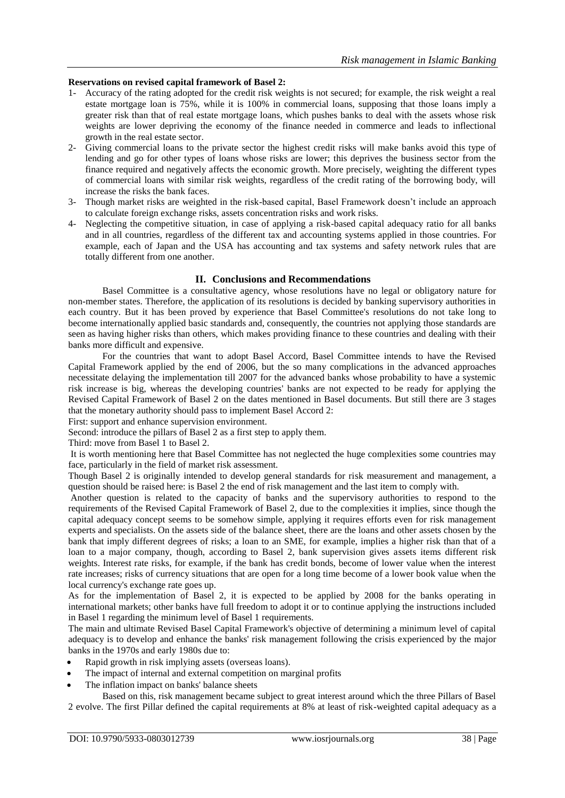#### **Reservations on revised capital framework of Basel 2:**

- 1- Accuracy of the rating adopted for the credit risk weights is not secured; for example, the risk weight a real estate mortgage loan is 75%, while it is 100% in commercial loans, supposing that those loans imply a greater risk than that of real estate mortgage loans, which pushes banks to deal with the assets whose risk weights are lower depriving the economy of the finance needed in commerce and leads to inflectional growth in the real estate sector.
- 2- Giving commercial loans to the private sector the highest credit risks will make banks avoid this type of lending and go for other types of loans whose risks are lower; this deprives the business sector from the finance required and negatively affects the economic growth. More precisely, weighting the different types of commercial loans with similar risk weights, regardless of the credit rating of the borrowing body, will increase the risks the bank faces.
- 3- Though market risks are weighted in the risk-based capital, Basel Framework doesn't include an approach to calculate foreign exchange risks, assets concentration risks and work risks.
- 4- Neglecting the competitive situation, in case of applying a risk-based capital adequacy ratio for all banks and in all countries, regardless of the different tax and accounting systems applied in those countries. For example, each of Japan and the USA has accounting and tax systems and safety network rules that are totally different from one another.

#### **II. Conclusions and Recommendations**

Basel Committee is a consultative agency, whose resolutions have no legal or obligatory nature for non-member states. Therefore, the application of its resolutions is decided by banking supervisory authorities in each country. But it has been proved by experience that Basel Committee's resolutions do not take long to become internationally applied basic standards and, consequently, the countries not applying those standards are seen as having higher risks than others, which makes providing finance to these countries and dealing with their banks more difficult and expensive.

For the countries that want to adopt Basel Accord, Basel Committee intends to have the Revised Capital Framework applied by the end of 2006, but the so many complications in the advanced approaches necessitate delaying the implementation till 2007 for the advanced banks whose probability to have a systemic risk increase is big, whereas the developing countries' banks are not expected to be ready for applying the Revised Capital Framework of Basel 2 on the dates mentioned in Basel documents. But still there are 3 stages that the monetary authority should pass to implement Basel Accord 2:

First: support and enhance supervision environment.

Second: introduce the pillars of Basel 2 as a first step to apply them.

Third: move from Basel 1 to Basel 2.

It is worth mentioning here that Basel Committee has not neglected the huge complexities some countries may face, particularly in the field of market risk assessment.

Though Basel 2 is originally intended to develop general standards for risk measurement and management, a question should be raised here: is Basel 2 the end of risk management and the last item to comply with.

Another question is related to the capacity of banks and the supervisory authorities to respond to the requirements of the Revised Capital Framework of Basel 2, due to the complexities it implies, since though the capital adequacy concept seems to be somehow simple, applying it requires efforts even for risk management experts and specialists. On the assets side of the balance sheet, there are the loans and other assets chosen by the bank that imply different degrees of risks; a loan to an SME, for example, implies a higher risk than that of a loan to a major company, though, according to Basel 2, bank supervision gives assets items different risk weights. Interest rate risks, for example, if the bank has credit bonds, become of lower value when the interest rate increases; risks of currency situations that are open for a long time become of a lower book value when the local currency's exchange rate goes up.

As for the implementation of Basel 2, it is expected to be applied by 2008 for the banks operating in international markets; other banks have full freedom to adopt it or to continue applying the instructions included in Basel 1 regarding the minimum level of Basel 1 requirements.

The main and ultimate Revised Basel Capital Framework's objective of determining a minimum level of capital adequacy is to develop and enhance the banks' risk management following the crisis experienced by the major banks in the 1970s and early 1980s due to:

- Rapid growth in risk implying assets (overseas loans).
- The impact of internal and external competition on marginal profits
- The inflation impact on banks' balance sheets

Based on this, risk management became subject to great interest around which the three Pillars of Basel 2 evolve. The first Pillar defined the capital requirements at 8% at least of risk-weighted capital adequacy as a